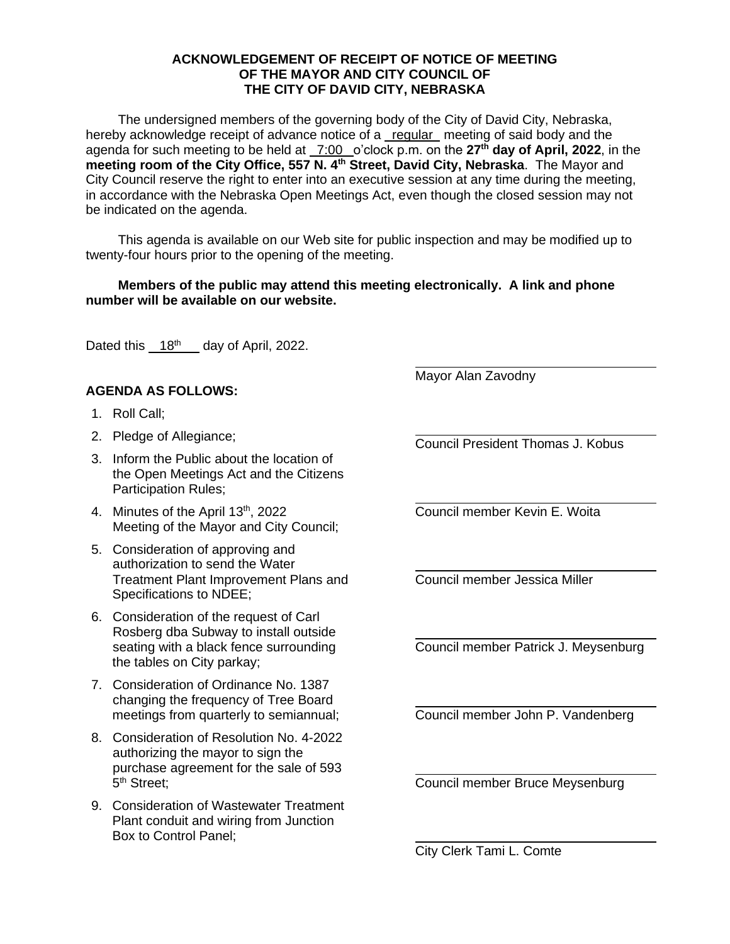## **ACKNOWLEDGEMENT OF RECEIPT OF NOTICE OF MEETING OF THE MAYOR AND CITY COUNCIL OF THE CITY OF DAVID CITY, NEBRASKA**

The undersigned members of the governing body of the City of David City, Nebraska, hereby acknowledge receipt of advance notice of a regular meeting of said body and the agenda for such meeting to be held at \_7:00 \_o'clock p.m. on the 27<sup>th</sup> day of April, 2022, in the **meeting room of the City Office, 557 N. 4th Street, David City, Nebraska**. The Mayor and City Council reserve the right to enter into an executive session at any time during the meeting, in accordance with the Nebraska Open Meetings Act, even though the closed session may not be indicated on the agenda.

This agenda is available on our Web site for public inspection and may be modified up to twenty-four hours prior to the opening of the meeting.

## **Members of the public may attend this meeting electronically. A link and phone number will be available on our website.**

Dated this  $18<sup>th</sup>$  day of April, 2022.

## **AGENDA AS FOLLOWS:**

- 1. Roll Call;
- 2. Pledge of Allegiance;
- 3. Inform the Public about the location of the Open Meetings Act and the Citizens Participation Rules;
- 4. Minutes of the April 13<sup>th</sup>, 2022 Meeting of the Mayor and City Council;
- 5. Consideration of approving and authorization to send the Water Treatment Plant Improvement Plans and Specifications to NDEE;
- 6. Consideration of the request of Carl Rosberg dba Subway to install outside seating with a black fence surrounding the tables on City parkay;
- 7. Consideration of Ordinance No. 1387 changing the frequency of Tree Board meetings from quarterly to semiannual;
- 8. Consideration of Resolution No. 4-2022 authorizing the mayor to sign the purchase agreement for the sale of 593 5<sup>th</sup> Street;
- 9. Consideration of Wastewater Treatment Plant conduit and wiring from Junction Box to Control Panel;

Mayor Alan Zavodny

Council President Thomas J. Kobus

Council member Kevin E. Woita

Council member Jessica Miller

Council member Patrick J. Meysenburg

Council member John P. Vandenberg

Council member Bruce Meysenburg

City Clerk Tami L. Comte